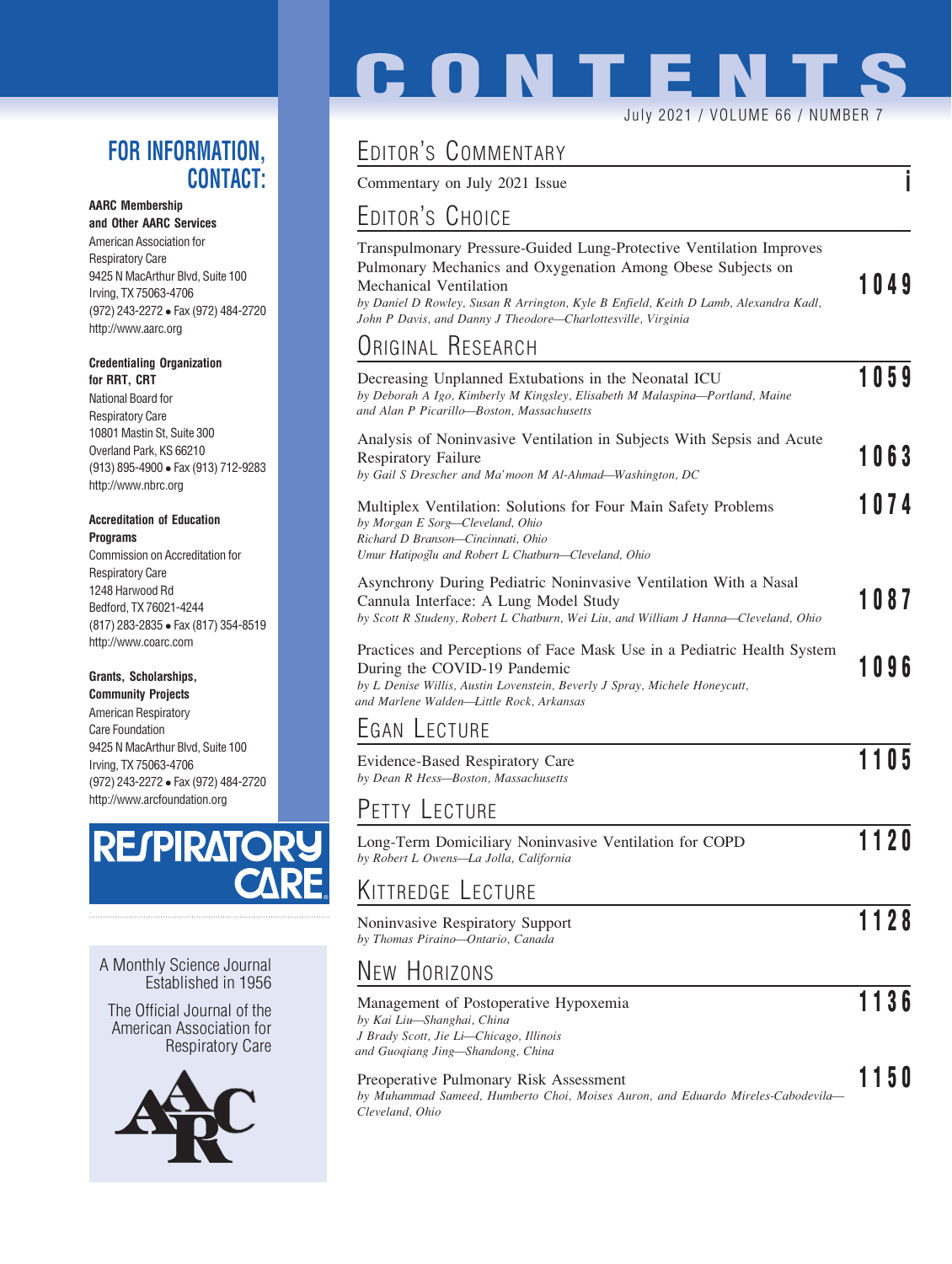## FOR INFORMATION, CONTACT:

#### AARC Membership

and Other AARC Services American Association for Respiratory Care 9425 N MacArthur Blvd, Suite 100 Irving, TX 75063-4706 (972) 243-2272 Fax (972) 484-2720 http://www.aarc.org

#### Credentialing Organization for RRT, CRT

National Board for Respiratory Care 10801 Mastin St, Suite 300 Overland Park, KS 66210 (913) 895-4900 Fax (913) 712-9283 http://www.nbrc.org

#### Accreditation of Education **Programs**

Commission on Accreditation for Respiratory Care 1248 Harwood Rd Bedford, TX 76021-4244 (817) 283-2835 Fax (817) 354-8519 http://www.coarc.com

### Grants, Scholarships,

Community Projects American Respiratory Care Foundation 9425 N MacArthur Blvd, Suite 100 Irving, TX 75063-4706 (972) 243-2272 Fax (972) 484-2720 http://www.arcfoundation.org



A Monthly Science Journal Established in 1956

The Official Journal of the American Association for Respiratory Care



# **CONTENTS** July 2021 / VOLUME 66 / NUMBER 7

## EDITOR'S COMMENTARY

Commentary on July 2021 Issue

## EDITOR'S CHOICE

| Transpulmonary Pressure-Guided Lung-Protective Ventilation Improves<br>Pulmonary Mechanics and Oxygenation Among Obese Subjects on<br>Mechanical Ventilation |      |
|--------------------------------------------------------------------------------------------------------------------------------------------------------------|------|
| by Daniel D Rowley, Susan R Arrington, Kyle B Enfield, Keith D Lamb, Alexandra Kadl,<br>John P Davis, and Danny J Theodore—Charlottesville, Virginia         | 1049 |
|                                                                                                                                                              |      |

## ORIGINAL RESEARCH

| Decreasing Unplanned Extubations in the Neonatal ICU<br>by Deborah A Igo, Kimberly M Kingsley, Elisabeth M Malaspina-Portland, Maine<br>and Alan P Picarillo-Boston, Massachusetts                                                | 1059 |
|-----------------------------------------------------------------------------------------------------------------------------------------------------------------------------------------------------------------------------------|------|
| Analysis of Noninvasive Ventilation in Subjects With Sepsis and Acute<br><b>Respiratory Failure</b><br>by Gail S Drescher and Ma'moon M Al-Ahmad-Washington, DC                                                                   | 1063 |
| Multiplex Ventilation: Solutions for Four Main Safety Problems<br>by Morgan E Sorg-Cleveland, Ohio<br>Richard D Branson-Cincinnati, Ohio<br>Umur Hatipoglu and Robert L Chatburn-Cleveland, Ohio                                  | 1074 |
| Asynchrony During Pediatric Noninvasive Ventilation With a Nasal<br>Cannula Interface: A Lung Model Study<br>by Scott R Studeny, Robert L Chatburn, Wei Liu, and William J Hanna—Cleveland, Ohio                                  | 1087 |
| Practices and Perceptions of Face Mask Use in a Pediatric Health System<br>During the COVID-19 Pandemic<br>by L Denise Willis, Austin Lovenstein, Beverly J Spray, Michele Honeycutt,<br>and Marlene Walden-Little Rock, Arkansas | 1096 |
| EGAN LECTURE                                                                                                                                                                                                                      |      |
| Evidence-Based Respiratory Care<br>by Dean R Hess-Boston, Massachusetts                                                                                                                                                           | 1105 |
| PETTY LECTURE                                                                                                                                                                                                                     |      |
| Long-Term Domiciliary Noninvasive Ventilation for COPD<br>by Robert L Owens-La Jolla, California                                                                                                                                  | 1120 |
| KITTREDGE LECTURE                                                                                                                                                                                                                 |      |
| Noninvasive Respiratory Support<br>by Thomas Piraino-Ontario, Canada                                                                                                                                                              | 1128 |
| <b>NEW HORIZONS</b>                                                                                                                                                                                                               |      |
| Management of Postoperative Hypoxemia<br>by Kai Liu-Shanghai, China                                                                                                                                                               | 1136 |

and Guoqiang Jing—Shandong, China Preoperative Pulmonary Risk Assessment 1150

J Brady Scott, Jie Li—Chicago, Illinois

by Muhammad Sameed, Humberto Choi, Moises Auron, and Eduardo Mireles-Cabodevila— Cleveland, Ohio